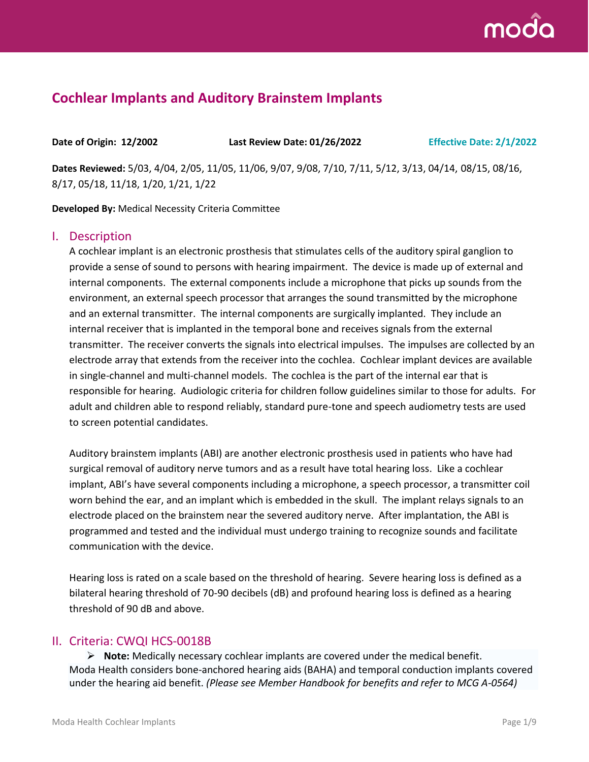

# **Cochlear Implants and Auditory Brainstem Implants**

**Date of Origin: 12/2002 Last Review Date: 01/26/2022 Effective Date: 2/1/2022**

**Dates Reviewed:** 5/03, 4/04, 2/05, 11/05, 11/06, 9/07, 9/08, 7/10, 7/11, 5/12, 3/13, 04/14, 08/15, 08/16, 8/17, 05/18, 11/18, 1/20, 1/21, 1/22

**Developed By:** Medical Necessity Criteria Committee

### I. Description

A cochlear implant is an electronic prosthesis that stimulates cells of the auditory spiral ganglion to provide a sense of sound to persons with hearing impairment. The device is made up of external and internal components. The external components include a microphone that picks up sounds from the environment, an external speech processor that arranges the sound transmitted by the microphone and an external transmitter. The internal components are surgically implanted. They include an internal receiver that is implanted in the temporal bone and receives signals from the external transmitter. The receiver converts the signals into electrical impulses. The impulses are collected by an electrode array that extends from the receiver into the cochlea. Cochlear implant devices are available in single-channel and multi-channel models. The cochlea is the part of the internal ear that is responsible for hearing. Audiologic criteria for children follow guidelines similar to those for adults. For adult and children able to respond reliably, standard pure-tone and speech audiometry tests are used to screen potential candidates.

Auditory brainstem implants (ABI) are another electronic prosthesis used in patients who have had surgical removal of auditory nerve tumors and as a result have total hearing loss. Like a cochlear implant, ABI's have several components including a microphone, a speech processor, a transmitter coil worn behind the ear, and an implant which is embedded in the skull. The implant relays signals to an electrode placed on the brainstem near the severed auditory nerve. After implantation, the ABI is programmed and tested and the individual must undergo training to recognize sounds and facilitate communication with the device.

Hearing loss is rated on a scale based on the threshold of hearing. Severe hearing loss is defined as a bilateral hearing threshold of 70-90 decibels (dB) and profound hearing loss is defined as a hearing threshold of 90 dB and above.

### II. Criteria: CWQI HCS-0018B

➢ **Note:** Medically necessary cochlear implants are covered under the medical benefit. Moda Health considers bone-anchored hearing aids (BAHA) and temporal conduction implants covered under the hearing aid benefit. *(Please see Member Handbook for benefits and refer to MCG A-0564)*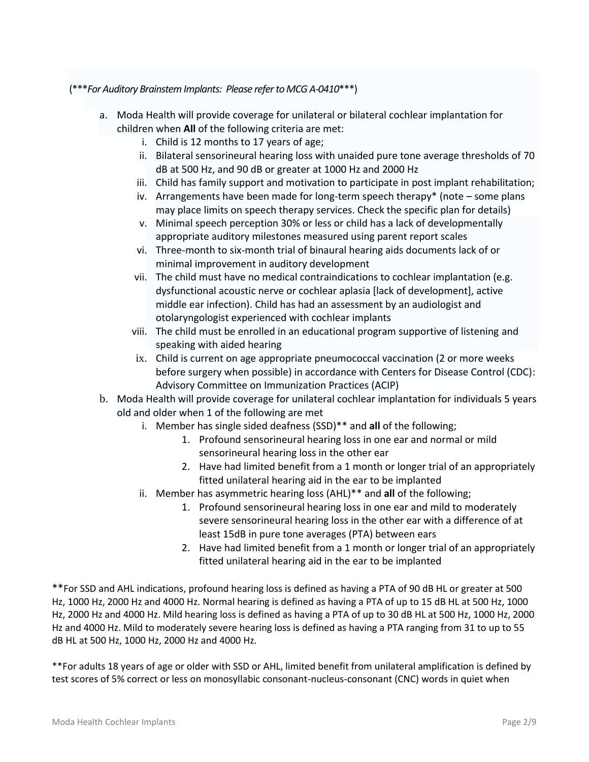#### (\*\*\**For Auditory Brainstem Implants: Please refer to MCG A-0410*\*\*\*)

- a. Moda Health will provide coverage for unilateral or bilateral cochlear implantation for children when **All** of the following criteria are met:
	- i. Child is 12 months to 17 years of age;
	- ii. Bilateral sensorineural hearing loss with unaided pure tone average thresholds of 70 dB at 500 Hz, and 90 dB or greater at 1000 Hz and 2000 Hz
	- iii. Child has family support and motivation to participate in post implant rehabilitation;
	- iv. Arrangements have been made for long-term speech therapy $*$  (note some plans may place limits on speech therapy services. Check the specific plan for details)
	- v. Minimal speech perception 30% or less or child has a lack of developmentally appropriate auditory milestones measured using parent report scales
	- vi. Three-month to six-month trial of binaural hearing aids documents lack of or minimal improvement in auditory development
	- vii. The child must have no medical contraindications to cochlear implantation (e.g. dysfunctional acoustic nerve or cochlear aplasia [lack of development], active middle ear infection). Child has had an assessment by an audiologist and otolaryngologist experienced with cochlear implants
	- viii. The child must be enrolled in an educational program supportive of listening and speaking with aided hearing
	- ix. Child is current on age appropriate pneumococcal vaccination (2 or more weeks before surgery when possible) in accordance with Centers for Disease Control (CDC): Advisory Committee on Immunization Practices (ACIP)
- b. Moda Health will provide coverage for unilateral cochlear implantation for individuals 5 years old and older when 1 of the following are met
	- i. Member has single sided deafness (SSD)\*\* and **all** of the following;
		- 1. Profound sensorineural hearing loss in one ear and normal or mild sensorineural hearing loss in the other ear
		- 2. Have had limited benefit from a 1 month or longer trial of an appropriately fitted unilateral hearing aid in the ear to be implanted
	- ii. Member has asymmetric hearing loss (AHL)\*\* and **all** of the following;
		- 1. Profound sensorineural hearing loss in one ear and mild to moderately severe sensorineural hearing loss in the other ear with a difference of at least 15dB in pure tone averages (PTA) between ears
		- 2. Have had limited benefit from a 1 month or longer trial of an appropriately fitted unilateral hearing aid in the ear to be implanted

\*\*For SSD and AHL indications, profound hearing loss is defined as having a PTA of 90 dB HL or greater at 500 Hz, 1000 Hz, 2000 Hz and 4000 Hz. Normal hearing is defined as having a PTA of up to 15 dB HL at 500 Hz, 1000 Hz, 2000 Hz and 4000 Hz. Mild hearing loss is defined as having a PTA of up to 30 dB HL at 500 Hz, 1000 Hz, 2000 Hz and 4000 Hz. Mild to moderately severe hearing loss is defined as having a PTA ranging from 31 to up to 55 dB HL at 500 Hz, 1000 Hz, 2000 Hz and 4000 Hz.

\*\*For adults 18 years of age or older with SSD or AHL, limited benefit from unilateral amplification is defined by test scores of 5% correct or less on monosyllabic consonant-nucleus-consonant (CNC) words in quiet when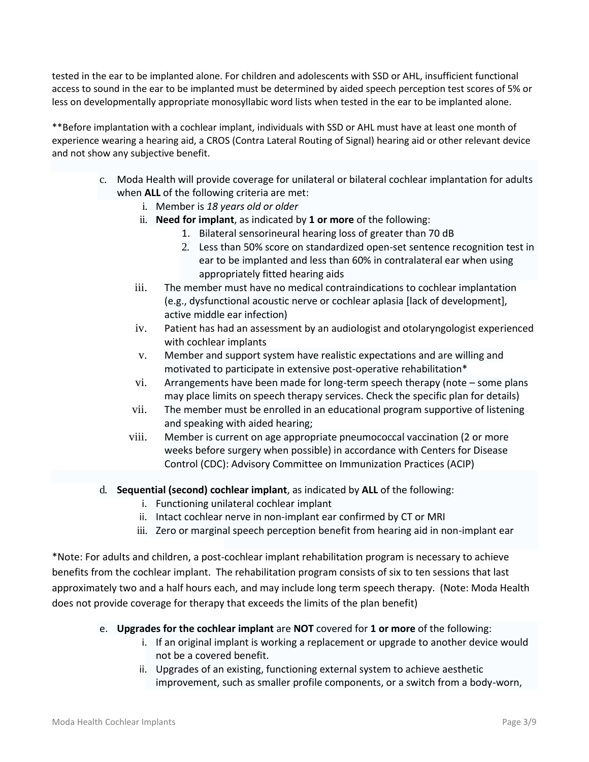tested in the ear to be implanted alone. For children and adolescents with SSD or AHL, insufficient functional access to sound in the ear to be implanted must be determined by aided speech perception test scores of 5% or less on developmentally appropriate monosyllabic word lists when tested in the ear to be implanted alone.

\*\*Before implantation with a cochlear implant, individuals with SSD or AHL must have at least one month of experience wearing a hearing aid, a CROS (Contra Lateral Routing of Signal) hearing aid or other relevant device and not show any subjective benefit.

- c. Moda Health will provide coverage for unilateral or bilateral cochlear implantation for adults when **ALL** of the following criteria are met:
	- i. Member is *18 years old or older*
	- ii. **Need for implant**, as indicated by **1 or more** of the following:
		- 1. Bilateral sensorineural hearing loss of greater than 70 dB
		- 2. Less than 50% score on standardized open-set sentence recognition test in ear to be implanted and less than 60% in contralateral ear when using appropriately fitted hearing aids
	- iii. The member must have no medical contraindications to cochlear implantation (e.g., dysfunctional acoustic nerve or cochlear aplasia [lack of development], active middle ear infection)
	- iv. Patient has had an assessment by an audiologist and otolaryngologist experienced with cochlear implants
	- v. Member and support system have realistic expectations and are willing and motivated to participate in extensive post-operative rehabilitation\*
	- vi. Arrangements have been made for long-term speech therapy (note some plans may place limits on speech therapy services. Check the specific plan for details)
	- vii. The member must be enrolled in an educational program supportive of listening and speaking with aided hearing;
	- viii. Member is current on age appropriate pneumococcal vaccination (2 or more weeks before surgery when possible) in accordance with Centers for Disease Control (CDC): Advisory Committee on Immunization Practices (ACIP)
- d. **Sequential (second) cochlear implant**, as indicated by **ALL** of the following:
	- i. Functioning unilateral cochlear implant
	- ii. Intact cochlear nerve in non-implant ear confirmed by CT or MRI
	- iii. Zero or marginal speech perception benefit from hearing aid in non-implant ear

\*Note: For adults and children, a post-cochlear implant rehabilitation program is necessary to achieve benefits from the cochlear implant. The rehabilitation program consists of six to ten sessions that last approximately two and a half hours each, and may include long term speech therapy. (Note: Moda Health does not provide coverage for therapy that exceeds the limits of the plan benefit)

- e. **Upgrades for the cochlear implant** are **NOT** covered for **1 or more** of the following:
	- i. If an original implant is working a replacement or upgrade to another device would not be a covered benefit.
	- ii. Upgrades of an existing, functioning external system to achieve aesthetic improvement, such as smaller profile components, or a switch from a body-worn,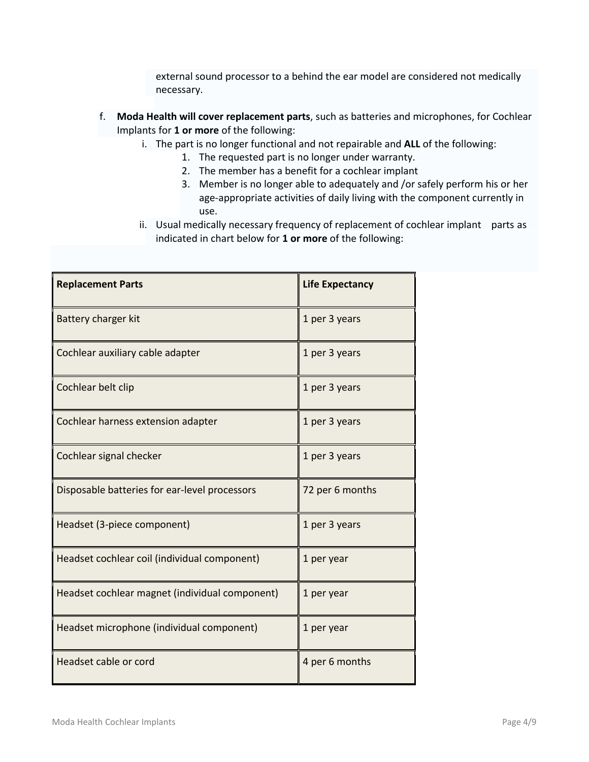external sound processor to a behind the ear model are considered not medically necessary.

- f. **Moda Health will cover replacement parts**, such as batteries and microphones, for Cochlear Implants for **1 or more** of the following:
	- i. The part is no longer functional and not repairable and **ALL** of the following:
		- 1. The requested part is no longer under warranty.
		- 2. The member has a benefit for a cochlear implant
		- 3. Member is no longer able to adequately and /or safely perform his or her age-appropriate activities of daily living with the component currently in use.
	- ii. Usual medically necessary frequency of replacement of cochlear implant parts as indicated in chart below for **1 or more** of the following:

| <b>Replacement Parts</b>                       | <b>Life Expectancy</b> |
|------------------------------------------------|------------------------|
| Battery charger kit                            | 1 per 3 years          |
| Cochlear auxiliary cable adapter               | 1 per 3 years          |
| Cochlear belt clip                             | 1 per 3 years          |
| Cochlear harness extension adapter             | 1 per 3 years          |
| Cochlear signal checker                        | 1 per 3 years          |
| Disposable batteries for ear-level processors  | 72 per 6 months        |
| Headset (3-piece component)                    | 1 per 3 years          |
| Headset cochlear coil (individual component)   | 1 per year             |
| Headset cochlear magnet (individual component) | 1 per year             |
| Headset microphone (individual component)      | 1 per year             |
| Headset cable or cord                          | 4 per 6 months         |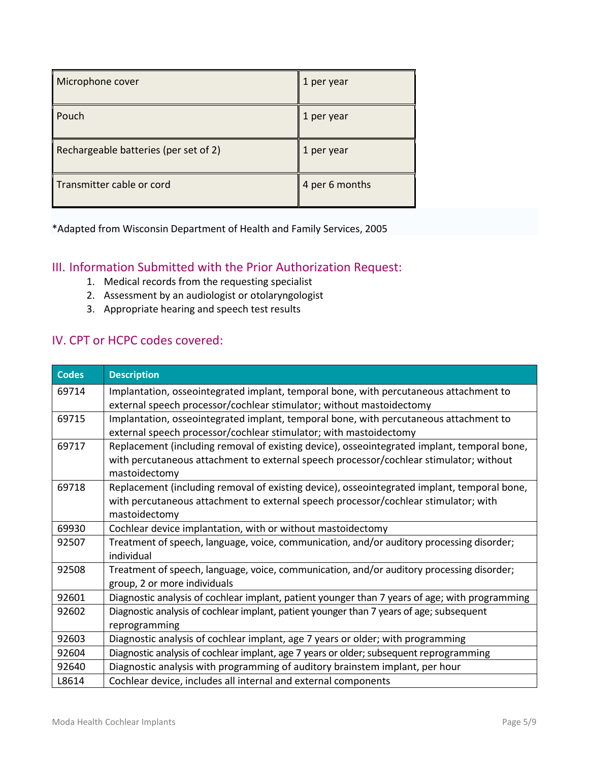| Microphone cover                      | 1 per year     |
|---------------------------------------|----------------|
| Pouch                                 | 1 per year     |
| Rechargeable batteries (per set of 2) | 1 per year     |
| Transmitter cable or cord             | 4 per 6 months |

\*Adapted from Wisconsin Department of Health and Family Services, 2005

### III. Information Submitted with the Prior Authorization Request:

- 1. Medical records from the requesting specialist
- 2. Assessment by an audiologist or otolaryngologist
- 3. Appropriate hearing and speech test results

### IV. CPT or HCPC codes covered:

| <b>Codes</b> | <b>Description</b>                                                                             |
|--------------|------------------------------------------------------------------------------------------------|
| 69714        | Implantation, osseointegrated implant, temporal bone, with percutaneous attachment to          |
|              | external speech processor/cochlear stimulator; without mastoidectomy                           |
| 69715        | Implantation, osseointegrated implant, temporal bone, with percutaneous attachment to          |
|              | external speech processor/cochlear stimulator; with mastoidectomy                              |
| 69717        | Replacement (including removal of existing device), osseointegrated implant, temporal bone,    |
|              | with percutaneous attachment to external speech processor/cochlear stimulator; without         |
|              | mastoidectomy                                                                                  |
| 69718        | Replacement (including removal of existing device), osseointegrated implant, temporal bone,    |
|              | with percutaneous attachment to external speech processor/cochlear stimulator; with            |
|              | mastoidectomy                                                                                  |
| 69930        | Cochlear device implantation, with or without mastoidectomy                                    |
| 92507        | Treatment of speech, language, voice, communication, and/or auditory processing disorder;      |
|              | individual                                                                                     |
| 92508        | Treatment of speech, language, voice, communication, and/or auditory processing disorder;      |
|              | group, 2 or more individuals                                                                   |
| 92601        | Diagnostic analysis of cochlear implant, patient younger than 7 years of age; with programming |
| 92602        | Diagnostic analysis of cochlear implant, patient younger than 7 years of age; subsequent       |
|              | reprogramming                                                                                  |
| 92603        | Diagnostic analysis of cochlear implant, age 7 years or older; with programming                |
| 92604        | Diagnostic analysis of cochlear implant, age 7 years or older; subsequent reprogramming        |
| 92640        | Diagnostic analysis with programming of auditory brainstem implant, per hour                   |
| L8614        | Cochlear device, includes all internal and external components                                 |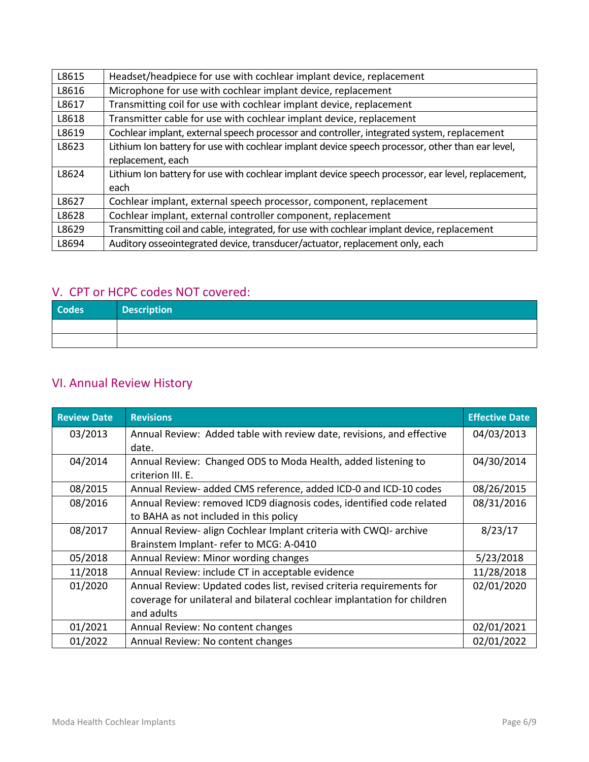| L8615 | Headset/headpiece for use with cochlear implant device, replacement                                |
|-------|----------------------------------------------------------------------------------------------------|
| L8616 | Microphone for use with cochlear implant device, replacement                                       |
| L8617 | Transmitting coil for use with cochlear implant device, replacement                                |
| L8618 | Transmitter cable for use with cochlear implant device, replacement                                |
| L8619 | Cochlear implant, external speech processor and controller, integrated system, replacement         |
| L8623 | Lithium Ion battery for use with cochlear implant device speech processor, other than ear level,   |
|       | replacement, each                                                                                  |
| L8624 | Lithium Ion battery for use with cochlear implant device speech processor, ear level, replacement, |
|       | each                                                                                               |
| L8627 | Cochlear implant, external speech processor, component, replacement                                |
| L8628 | Cochlear implant, external controller component, replacement                                       |
| L8629 | Transmitting coil and cable, integrated, for use with cochlear implant device, replacement         |
| L8694 | Auditory osseointegrated device, transducer/actuator, replacement only, each                       |

## V. CPT or HCPC codes NOT covered:

| <b>Codes</b> | <b>Description</b> |
|--------------|--------------------|
|              |                    |
|              |                    |

# VI. Annual Review History

| <b>Review Date</b> | <b>Revisions</b>                                                         | <b>Effective Date</b> |
|--------------------|--------------------------------------------------------------------------|-----------------------|
| 03/2013            | Annual Review: Added table with review date, revisions, and effective    | 04/03/2013            |
|                    | date.                                                                    |                       |
| 04/2014            | Annual Review: Changed ODS to Moda Health, added listening to            | 04/30/2014            |
|                    | criterion III. E.                                                        |                       |
| 08/2015            | Annual Review- added CMS reference, added ICD-0 and ICD-10 codes         | 08/26/2015            |
| 08/2016            | Annual Review: removed ICD9 diagnosis codes, identified code related     | 08/31/2016            |
|                    | to BAHA as not included in this policy                                   |                       |
| 08/2017            | Annual Review- align Cochlear Implant criteria with CWQI- archive        | 8/23/17               |
|                    | Brainstem Implant- refer to MCG: A-0410                                  |                       |
| 05/2018            | Annual Review: Minor wording changes                                     | 5/23/2018             |
| 11/2018            | Annual Review: include CT in acceptable evidence                         | 11/28/2018            |
| 01/2020            | Annual Review: Updated codes list, revised criteria requirements for     | 02/01/2020            |
|                    | coverage for unilateral and bilateral cochlear implantation for children |                       |
|                    | and adults                                                               |                       |
| 01/2021            | Annual Review: No content changes                                        | 02/01/2021            |
| 01/2022            | Annual Review: No content changes                                        | 02/01/2022            |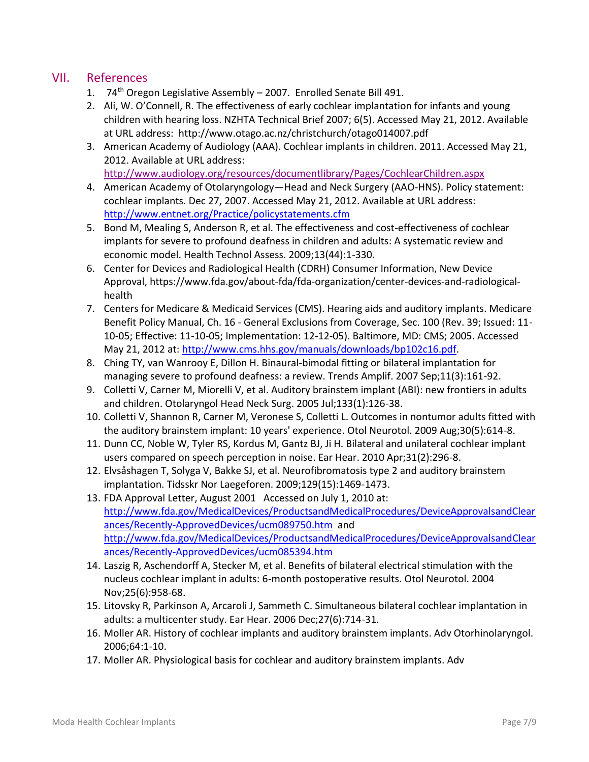### VII. References

- 1.  $74<sup>th</sup>$  Oregon Legislative Assembly 2007. Enrolled Senate Bill 491.
- 2. Ali, W. O'Connell, R. The effectiveness of early cochlear implantation for infants and young children with hearing loss. NZHTA Technical Brief 2007; 6(5). Accessed May 21, 2012. Available at URL address: http://www.otago.ac.nz/christchurch/otago014007.pdf
- 3. American Academy of Audiology (AAA). Cochlear implants in children. 2011. Accessed May 21, 2012. Available at URL address:

<http://www.audiology.org/resources/documentlibrary/Pages/CochlearChildren.aspx>

- 4. American Academy of Otolaryngology—Head and Neck Surgery (AAO-HNS). Policy statement: cochlear implants. Dec 27, 2007. Accessed May 21, 2012. Available at URL address: <http://www.entnet.org/Practice/policystatements.cfm>
- 5. Bond M, Mealing S, Anderson R, et al. The effectiveness and cost-effectiveness of cochlear implants for severe to profound deafness in children and adults: A systematic review and economic model. Health Technol Assess. 2009;13(44):1-330.
- 6. Center for Devices and Radiological Health (CDRH) Consumer Information, New Device Approval, https://www.fda.gov/about-fda/fda-organization/center-devices-and-radiologicalhealth
- 7. Centers for Medicare & Medicaid Services (CMS). Hearing aids and auditory implants. Medicare Benefit Policy Manual, Ch. 16 - General Exclusions from Coverage, Sec. 100 (Rev. 39; Issued: 11- 10-05; Effective: 11-10-05; Implementation: 12-12-05). Baltimore, MD: CMS; 2005. Accessed May 21, 2012 at: [http://www.cms.hhs.gov/manuals/downloads/bp102c16.pdf.](http://www.cms.hhs.gov/manuals/downloads/bp102c16.pdf)
- 8. Ching TY, van Wanrooy E, Dillon H. Binaural-bimodal fitting or bilateral implantation for managing severe to profound deafness: a review. Trends Amplif. 2007 Sep;11(3):161-92.
- 9. Colletti V, Carner M, Miorelli V, et al. Auditory brainstem implant (ABI): new frontiers in adults and children. Otolaryngol Head Neck Surg. 2005 Jul;133(1):126-38.
- 10. Colletti V, Shannon R, Carner M, Veronese S, Colletti L. Outcomes in nontumor adults fitted with the auditory brainstem implant: 10 years' experience. Otol Neurotol. 2009 Aug;30(5):614-8.
- 11. Dunn CC, Noble W, Tyler RS, Kordus M, Gantz BJ, Ji H. Bilateral and unilateral cochlear implant users compared on speech perception in noise. Ear Hear. 2010 Apr;31(2):296-8.
- 12. Elvsåshagen T, Solyga V, Bakke SJ, et al. Neurofibromatosis type 2 and auditory brainstem implantation. Tidsskr Nor Laegeforen. 2009;129(15):1469-1473.
- 13. FDA Approval Letter, August 2001 Accessed on July 1, 2010 at: [http://www.fda.gov/MedicalDevices/ProductsandMedicalProcedures/DeviceApprovalsandClear](http://www.fda.gov/MedicalDevices/ProductsandMedicalProcedures/DeviceApprovalsandClearances/Recently-ApprovedDevices/ucm089750.htm) [ances/Recently-ApprovedDevices/ucm089750.htm](http://www.fda.gov/MedicalDevices/ProductsandMedicalProcedures/DeviceApprovalsandClearances/Recently-ApprovedDevices/ucm089750.htm) and [http://www.fda.gov/MedicalDevices/ProductsandMedicalProcedures/DeviceApprovalsandClear](http://www.fda.gov/MedicalDevices/ProductsandMedicalProcedures/DeviceApprovalsandClearances/Recently-ApprovedDevices/ucm085394.htm) [ances/Recently-ApprovedDevices/ucm085394.htm](http://www.fda.gov/MedicalDevices/ProductsandMedicalProcedures/DeviceApprovalsandClearances/Recently-ApprovedDevices/ucm085394.htm)
- 14. Laszig R, Aschendorff A, Stecker M, et al. Benefits of bilateral electrical stimulation with the nucleus cochlear implant in adults: 6-month postoperative results. Otol Neurotol. 2004 Nov;25(6):958-68.
- 15. Litovsky R, Parkinson A, Arcaroli J, Sammeth C. Simultaneous bilateral cochlear implantation in adults: a multicenter study. Ear Hear. 2006 Dec;27(6):714-31.
- 16. Moller AR. History of cochlear implants and auditory brainstem implants. Adv Otorhinolaryngol. 2006;64:1-10.
- 17. Moller AR. Physiological basis for cochlear and auditory brainstem implants. Adv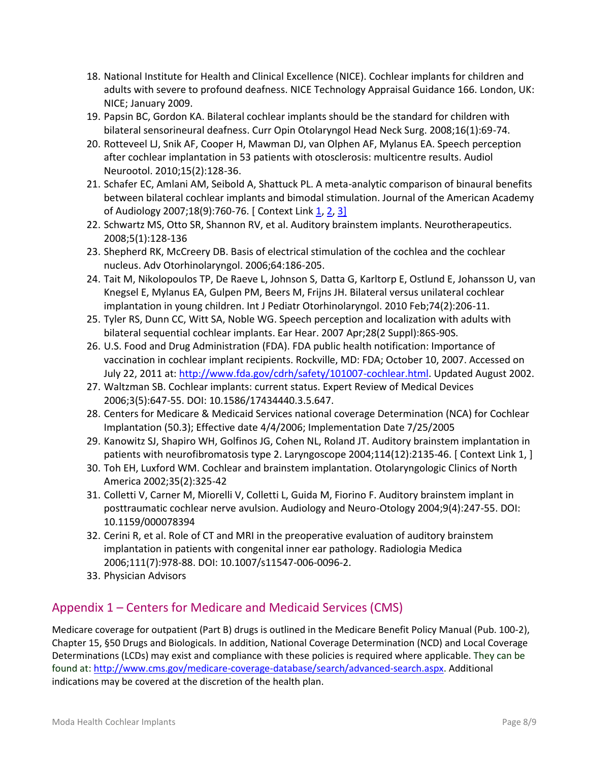- 18. National Institute for Health and Clinical Excellence (NICE). Cochlear implants for children and adults with severe to profound deafness. NICE Technology Appraisal Guidance 166. London, UK: NICE; January 2009.
- 19. Papsin BC, Gordon KA. Bilateral cochlear implants should be the standard for children with bilateral sensorineural deafness. Curr Opin Otolaryngol Head Neck Surg. 2008;16(1):69-74.
- 20. Rotteveel LJ, Snik AF, Cooper H, Mawman DJ, van Olphen AF, Mylanus EA. Speech perception after cochlear implantation in 53 patients with otosclerosis: multicentre results. Audiol Neurootol. 2010;15(2):128-36.
- 21. Schafer EC, Amlani AM, Seibold A, Shattuck PL. A meta-analytic comparison of binaural benefits between bilateral cochlear implants and bimodal stimulation. Journal of the American Academy of Audiology 2007;18(9):760-76. [ Context Link [1,](https://odshp.carewebqi.com/GuidelineViewer.aspx/cver14.3/ac/ac03_019.htm#cl_c_8) [2,](https://odshp.carewebqi.com/GuidelineViewer.aspx/cver14.3/ac/ac03_019.htm#cl_c_19) [3\]](https://odshp.carewebqi.com/GuidelineViewer.aspx/cver14.3/ac/ac03_019.htm#cl_c_25)
- 22. Schwartz MS, Otto SR, Shannon RV, et al. Auditory brainstem implants. Neurotherapeutics. 2008;5(1):128-136
- 23. Shepherd RK, McCreery DB. Basis of electrical stimulation of the cochlea and the cochlear nucleus. Adv Otorhinolaryngol. 2006;64:186-205.
- 24. Tait M, Nikolopoulos TP, De Raeve L, Johnson S, Datta G, Karltorp E, Ostlund E, Johansson U, van Knegsel E, Mylanus EA, Gulpen PM, Beers M, Frijns JH. Bilateral versus unilateral cochlear implantation in young children. Int J Pediatr Otorhinolaryngol. 2010 Feb;74(2):206-11.
- 25. Tyler RS, Dunn CC, Witt SA, Noble WG. Speech perception and localization with adults with bilateral sequential cochlear implants. Ear Hear. 2007 Apr;28(2 Suppl):86S-90S.
- 26. U.S. Food and Drug Administration (FDA). FDA public health notification: Importance of vaccination in cochlear implant recipients. Rockville, MD: FDA; October 10, 2007. Accessed on July 22, 2011 at: [http://www.fda.gov/cdrh/safety/101007-cochlear.html.](http://www.fda.gov/cdrh/safety/101007-cochle) Updated August 2002.
- 27. Waltzman SB. Cochlear implants: current status. Expert Review of Medical Devices 2006;3(5):647-55. DOI: 10.1586/17434440.3.5.647.
- 28. Centers for Medicare & Medicaid Services national coverage Determination (NCA) for Cochlear Implantation (50.3); Effective date 4/4/2006; Implementation Date 7/25/2005
- 29. Kanowitz SJ, Shapiro WH, Golfinos JG, Cohen NL, Roland JT. Auditory brainstem implantation in patients with neurofibromatosis type 2. Laryngoscope 2004;114(12):2135-46. [ Context Link 1, ]
- 30. Toh EH, Luxford WM. Cochlear and brainstem implantation. Otolaryngologic Clinics of North America 2002;35(2):325-42
- 31. Colletti V, Carner M, Miorelli V, Colletti L, Guida M, Fiorino F. Auditory brainstem implant in posttraumatic cochlear nerve avulsion. Audiology and Neuro-Otology 2004;9(4):247-55. DOI: 10.1159/000078394
- 32. Cerini R, et al. Role of CT and MRI in the preoperative evaluation of auditory brainstem implantation in patients with congenital inner ear pathology. Radiologia Medica 2006;111(7):978-88. DOI: 10.1007/s11547-006-0096-2.
- 33. Physician Advisors

# Appendix 1 – Centers for Medicare and Medicaid Services (CMS)

Medicare coverage for outpatient (Part B) drugs is outlined in the Medicare Benefit Policy Manual (Pub. 100-2), Chapter 15, §50 Drugs and Biologicals. In addition, National Coverage Determination (NCD) and Local Coverage Determinations (LCDs) may exist and compliance with these policies is required where applicable. They can be found at: http://www.cms.gov/medicare-coverage-database/search/advanced-search.aspx. Additional indications may be covered at the discretion of the health plan.